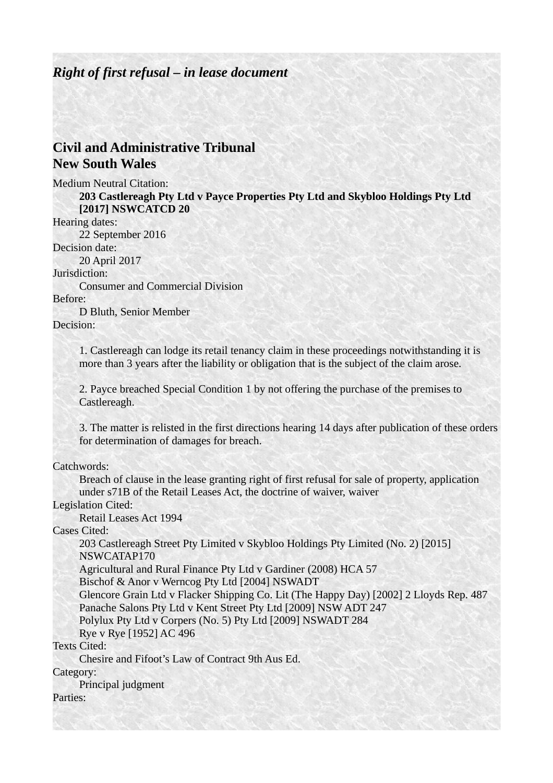#### *Right of first refusal – in lease document*

### **Civil and Administrative Tribunal New South Wales**

Medium Neutral Citation:

**203 Castlereagh Pty Ltd v Payce Properties Pty Ltd and Skybloo Holdings Pty Ltd [2017] NSWCATCD 20**

Hearing dates:

22 September 2016

Decision date:

20 April 2017

Jurisdiction:

Consumer and Commercial Division

#### Before:

D Bluth, Senior Member Decision:

> 1. Castlereagh can lodge its retail tenancy claim in these proceedings notwithstanding it is more than 3 years after the liability or obligation that is the subject of the claim arose.

2. Payce breached Special Condition 1 by not offering the purchase of the premises to Castlereagh.

3. The matter is relisted in the first directions hearing 14 days after publication of these orders for determination of damages for breach.

Catchwords:

Breach of clause in the lease granting right of first refusal for sale of property, application under s71B of the Retail Leases Act, the doctrine of waiver, waiver

Legislation Cited:

Retail Leases Act 1994

Cases Cited:

203 Castlereagh Street Pty Limited v Skybloo Holdings Pty Limited (No. 2) [2015] NSWCATAP170

Agricultural and Rural Finance Pty Ltd v Gardiner (2008) HCA 57

Bischof & Anor v Werncog Pty Ltd [2004] NSWADT

Glencore Grain Ltd v Flacker Shipping Co. Lit (The Happy Day) [2002] 2 Lloyds Rep. 487 Panache Salons Pty Ltd v Kent Street Pty Ltd [2009] NSW ADT 247 Polylux Pty Ltd v Corpers (No. 5) Pty Ltd [2009] NSWADT 284

Rye v Rye [1952] AC 496

Texts Cited:

Chesire and Fifoot's Law of Contract 9th Aus Ed.

Category:

Principal judgment

Parties: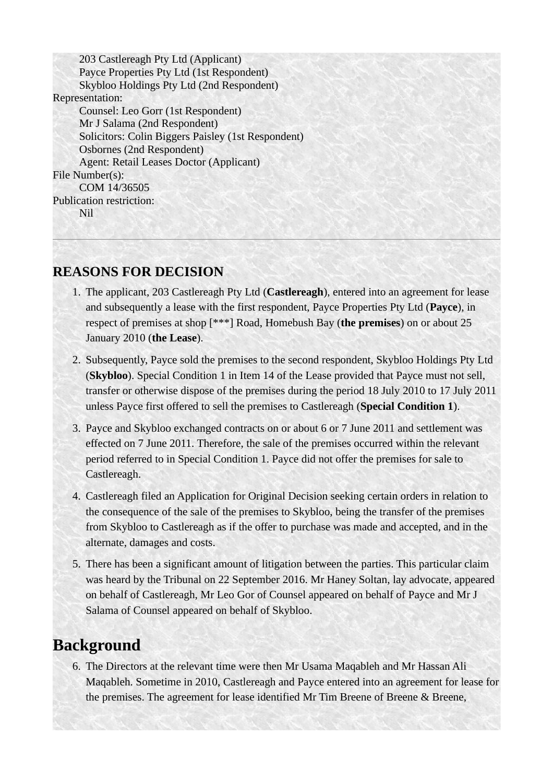203 Castlereagh Pty Ltd (Applicant) Payce Properties Pty Ltd (1st Respondent) Skybloo Holdings Pty Ltd (2nd Respondent) Representation: Counsel: Leo Gorr (1st Respondent) Mr J Salama (2nd Respondent) Solicitors: Colin Biggers Paisley (1st Respondent) Osbornes (2nd Respondent) Agent: Retail Leases Doctor (Applicant) File Number(s): COM 14/36505 Publication restriction: Nil

### **REASONS FOR DECISION**

- 1. The applicant, 203 Castlereagh Pty Ltd (**Castlereagh**), entered into an agreement for lease and subsequently a lease with the first respondent, Payce Properties Pty Ltd (**Payce**), in respect of premises at shop [\*\*\*] Road, Homebush Bay (**the premises**) on or about 25 January 2010 (**the Lease**).
- 2. Subsequently, Payce sold the premises to the second respondent, Skybloo Holdings Pty Ltd (**Skybloo**). Special Condition 1 in Item 14 of the Lease provided that Payce must not sell, transfer or otherwise dispose of the premises during the period 18 July 2010 to 17 July 2011 unless Payce first offered to sell the premises to Castlereagh (**Special Condition 1**).
- 3. Payce and Skybloo exchanged contracts on or about 6 or 7 June 2011 and settlement was effected on 7 June 2011. Therefore, the sale of the premises occurred within the relevant period referred to in Special Condition 1. Payce did not offer the premises for sale to Castlereagh.
- 4. Castlereagh filed an Application for Original Decision seeking certain orders in relation to the consequence of the sale of the premises to Skybloo, being the transfer of the premises from Skybloo to Castlereagh as if the offer to purchase was made and accepted, and in the alternate, damages and costs.
- 5. There has been a significant amount of litigation between the parties. This particular claim was heard by the Tribunal on 22 September 2016. Mr Haney Soltan, lay advocate, appeared on behalf of Castlereagh, Mr Leo Gor of Counsel appeared on behalf of Payce and Mr J Salama of Counsel appeared on behalf of Skybloo.

## **Background**

6. The Directors at the relevant time were then Mr Usama Maqableh and Mr Hassan Ali Maqableh. Sometime in 2010, Castlereagh and Payce entered into an agreement for lease for the premises. The agreement for lease identified Mr Tim Breene of Breene & Breene,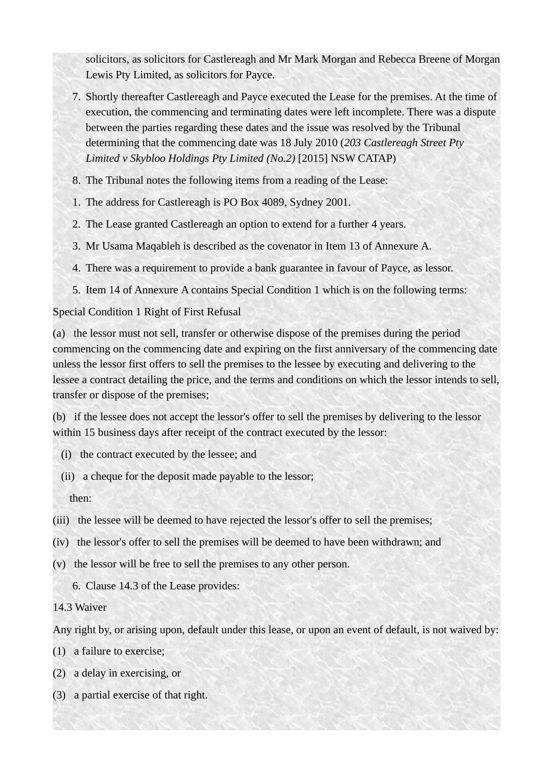solicitors, as solicitors for Castlereagh and Mr Mark Morgan and Rebecca Breene of Morgan Lewis Pty Limited, as solicitors for Payce.

- 7. Shortly thereafter Castlereagh and Payce executed the Lease for the premises. At the time of execution, the commencing and terminating dates were left incomplete. There was a dispute between the parties regarding these dates and the issue was resolved by the Tribunal determining that the commencing date was 18 July 2010 (*203 Castlereagh Street Pty Limited v Skybloo Holdings Pty Limited (No.2)* [2015] NSW CATAP)
- 8. The Tribunal notes the following items from a reading of the Lease:
- 1. The address for Castlereagh is PO Box 4089, Sydney 2001.
- 2. The Lease granted Castlereagh an option to extend for a further 4 years.
- 3. Mr Usama Maqableh is described as the covenator in Item 13 of Annexure A.
- 4. There was a requirement to provide a bank guarantee in favour of Payce, as lessor.
- 5. Item 14 of Annexure A contains Special Condition 1 which is on the following terms:

#### Special Condition 1 Right of First Refusal

(a) the lessor must not sell, transfer or otherwise dispose of the premises during the period commencing on the commencing date and expiring on the first anniversary of the commencing date unless the lessor first offers to sell the premises to the lessee by executing and delivering to the lessee a contract detailing the price, and the terms and conditions on which the lessor intends to sell, transfer or dispose of the premises;

(b) if the lessee does not accept the lessor's offer to sell the premises by delivering to the lessor within 15 business days after receipt of the contract executed by the lessor:

- (i) the contract executed by the lessee; and
- (ii) a cheque for the deposit made payable to the lessor;
	- then:
- (iii) the lessee will be deemed to have rejected the lessor's offer to sell the premises;
- (iv) the lessor's offer to sell the premises will be deemed to have been withdrawn; and
- (v) the lessor will be free to sell the premises to any other person.

6. Clause 14.3 of the Lease provides:

14.3 Waiver

Any right by, or arising upon, default under this lease, or upon an event of default, is not waived by:

- (1) a failure to exercise;
- (2) a delay in exercising, or
- (3) a partial exercise of that right.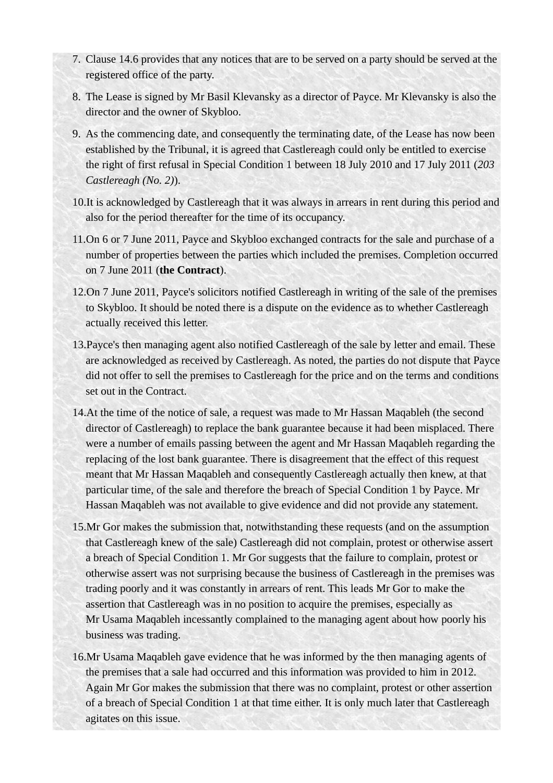- 7. Clause 14.6 provides that any notices that are to be served on a party should be served at the registered office of the party.
- 8. The Lease is signed by Mr Basil Klevansky as a director of Payce. Mr Klevansky is also the director and the owner of Skybloo.
- 9. As the commencing date, and consequently the terminating date, of the Lease has now been established by the Tribunal, it is agreed that Castlereagh could only be entitled to exercise the right of first refusal in Special Condition 1 between 18 July 2010 and 17 July 2011 (*203 Castlereagh (No. 2)*).
- 10.It is acknowledged by Castlereagh that it was always in arrears in rent during this period and also for the period thereafter for the time of its occupancy.
- 11.On 6 or 7 June 2011, Payce and Skybloo exchanged contracts for the sale and purchase of a number of properties between the parties which included the premises. Completion occurred on 7 June 2011 (**the Contract**).
- 12.On 7 June 2011, Payce's solicitors notified Castlereagh in writing of the sale of the premises to Skybloo. It should be noted there is a dispute on the evidence as to whether Castlereagh actually received this letter.
- 13.Payce's then managing agent also notified Castlereagh of the sale by letter and email. These are acknowledged as received by Castlereagh. As noted, the parties do not dispute that Payce did not offer to sell the premises to Castlereagh for the price and on the terms and conditions set out in the Contract.
- 14.At the time of the notice of sale, a request was made to Mr Hassan Maqableh (the second director of Castlereagh) to replace the bank guarantee because it had been misplaced. There were a number of emails passing between the agent and Mr Hassan Maqableh regarding the replacing of the lost bank guarantee. There is disagreement that the effect of this request meant that Mr Hassan Maqableh and consequently Castlereagh actually then knew, at that particular time, of the sale and therefore the breach of Special Condition 1 by Payce. Mr Hassan Maqableh was not available to give evidence and did not provide any statement.
- 15.Mr Gor makes the submission that, notwithstanding these requests (and on the assumption that Castlereagh knew of the sale) Castlereagh did not complain, protest or otherwise assert a breach of Special Condition 1. Mr Gor suggests that the failure to complain, protest or otherwise assert was not surprising because the business of Castlereagh in the premises was trading poorly and it was constantly in arrears of rent. This leads Mr Gor to make the assertion that Castlereagh was in no position to acquire the premises, especially as Mr Usama Maqableh incessantly complained to the managing agent about how poorly his business was trading.
- 16.Mr Usama Maqableh gave evidence that he was informed by the then managing agents of the premises that a sale had occurred and this information was provided to him in 2012. Again Mr Gor makes the submission that there was no complaint, protest or other assertion of a breach of Special Condition 1 at that time either. It is only much later that Castlereagh agitates on this issue.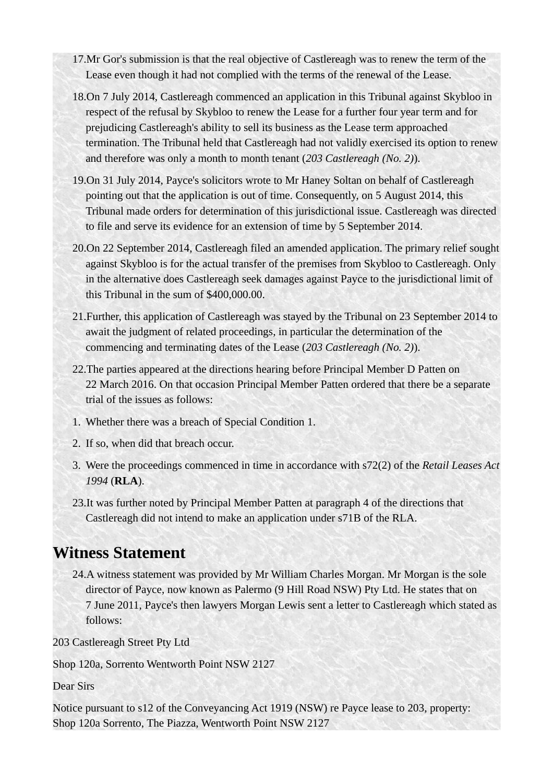- 17.Mr Gor's submission is that the real objective of Castlereagh was to renew the term of the Lease even though it had not complied with the terms of the renewal of the Lease.
- 18.On 7 July 2014, Castlereagh commenced an application in this Tribunal against Skybloo in respect of the refusal by Skybloo to renew the Lease for a further four year term and for prejudicing Castlereagh's ability to sell its business as the Lease term approached termination. The Tribunal held that Castlereagh had not validly exercised its option to renew and therefore was only a month to month tenant (*203 Castlereagh (No. 2)*).
- 19.On 31 July 2014, Payce's solicitors wrote to Mr Haney Soltan on behalf of Castlereagh pointing out that the application is out of time. Consequently, on 5 August 2014, this Tribunal made orders for determination of this jurisdictional issue. Castlereagh was directed to file and serve its evidence for an extension of time by 5 September 2014.
- 20.On 22 September 2014, Castlereagh filed an amended application. The primary relief sought against Skybloo is for the actual transfer of the premises from Skybloo to Castlereagh. Only in the alternative does Castlereagh seek damages against Payce to the jurisdictional limit of this Tribunal in the sum of \$400,000.00.
- 21.Further, this application of Castlereagh was stayed by the Tribunal on 23 September 2014 to await the judgment of related proceedings, in particular the determination of the commencing and terminating dates of the Lease (*203 Castlereagh (No. 2)*).
- 22.The parties appeared at the directions hearing before Principal Member D Patten on 22 March 2016. On that occasion Principal Member Patten ordered that there be a separate trial of the issues as follows:
- 1. Whether there was a breach of Special Condition 1.
- 2. If so, when did that breach occur.
- 3. Were the proceedings commenced in time in accordance with s72(2) of the *Retail Leases Act 1994* (**RLA**).
- 23.It was further noted by Principal Member Patten at paragraph 4 of the directions that Castlereagh did not intend to make an application under s71B of the RLA.

## **Witness Statement**

24.A witness statement was provided by Mr William Charles Morgan. Mr Morgan is the sole director of Payce, now known as Palermo (9 Hill Road NSW) Pty Ltd. He states that on 7 June 2011, Payce's then lawyers Morgan Lewis sent a letter to Castlereagh which stated as follows:

203 Castlereagh Street Pty Ltd

Shop 120a, Sorrento Wentworth Point NSW 2127

Dear Sirs

Notice pursuant to s12 of the Conveyancing Act 1919 (NSW) re Payce lease to 203, property: Shop 120a Sorrento, The Piazza, Wentworth Point NSW 2127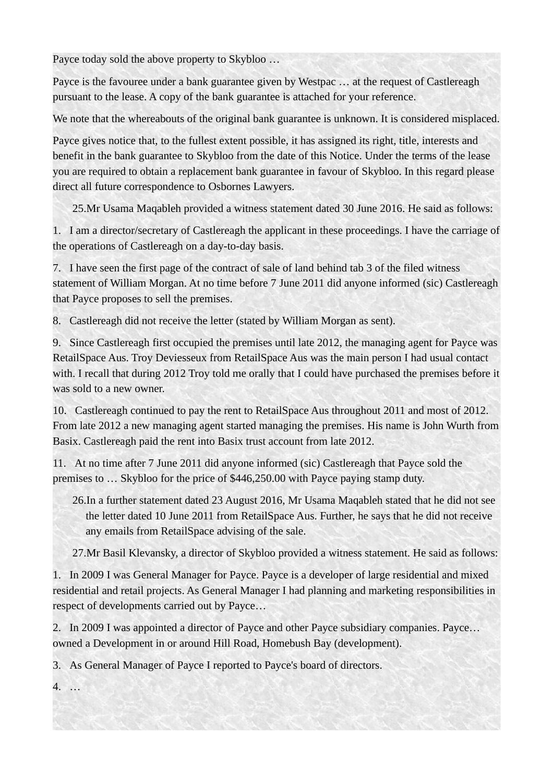Payce today sold the above property to Skybloo …

Payce is the favouree under a bank guarantee given by Westpac … at the request of Castlereagh pursuant to the lease. A copy of the bank guarantee is attached for your reference.

We note that the whereabouts of the original bank guarantee is unknown. It is considered misplaced.

Payce gives notice that, to the fullest extent possible, it has assigned its right, title, interests and benefit in the bank guarantee to Skybloo from the date of this Notice. Under the terms of the lease you are required to obtain a replacement bank guarantee in favour of Skybloo. In this regard please direct all future correspondence to Osbornes Lawyers.

25.Mr Usama Maqableh provided a witness statement dated 30 June 2016. He said as follows:

1. I am a director/secretary of Castlereagh the applicant in these proceedings. I have the carriage of the operations of Castlereagh on a day-to-day basis.

7. I have seen the first page of the contract of sale of land behind tab 3 of the filed witness statement of William Morgan. At no time before 7 June 2011 did anyone informed (sic) Castlereagh that Payce proposes to sell the premises.

8. Castlereagh did not receive the letter (stated by William Morgan as sent).

9. Since Castlereagh first occupied the premises until late 2012, the managing agent for Payce was RetailSpace Aus. Troy Deviesseux from RetailSpace Aus was the main person I had usual contact with. I recall that during 2012 Troy told me orally that I could have purchased the premises before it was sold to a new owner.

10. Castlereagh continued to pay the rent to RetailSpace Aus throughout 2011 and most of 2012. From late 2012 a new managing agent started managing the premises. His name is John Wurth from Basix. Castlereagh paid the rent into Basix trust account from late 2012.

11. At no time after 7 June 2011 did anyone informed (sic) Castlereagh that Payce sold the premises to … Skybloo for the price of \$446,250.00 with Payce paying stamp duty.

26.In a further statement dated 23 August 2016, Mr Usama Maqableh stated that he did not see the letter dated 10 June 2011 from RetailSpace Aus. Further, he says that he did not receive any emails from RetailSpace advising of the sale.

27.Mr Basil Klevansky, a director of Skybloo provided a witness statement. He said as follows:

1. In 2009 I was General Manager for Payce. Payce is a developer of large residential and mixed residential and retail projects. As General Manager I had planning and marketing responsibilities in respect of developments carried out by Payce…

2. In 2009 I was appointed a director of Payce and other Payce subsidiary companies. Payce… owned a Development in or around Hill Road, Homebush Bay (development).

3. As General Manager of Payce I reported to Payce's board of directors.

4. …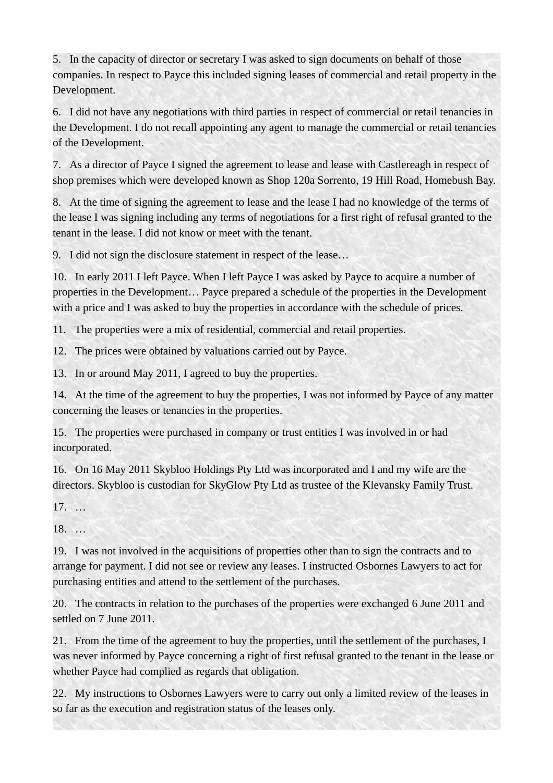5. In the capacity of director or secretary I was asked to sign documents on behalf of those companies. In respect to Payce this included signing leases of commercial and retail property in the Development.

6. I did not have any negotiations with third parties in respect of commercial or retail tenancies in the Development. I do not recall appointing any agent to manage the commercial or retail tenancies of the Development.

7. As a director of Payce I signed the agreement to lease and lease with Castlereagh in respect of shop premises which were developed known as Shop 120a Sorrento, 19 Hill Road, Homebush Bay.

8. At the time of signing the agreement to lease and the lease I had no knowledge of the terms of the lease I was signing including any terms of negotiations for a first right of refusal granted to the tenant in the lease. I did not know or meet with the tenant.

9. I did not sign the disclosure statement in respect of the lease…

10. In early 2011 I left Payce. When I left Payce I was asked by Payce to acquire a number of properties in the Development… Payce prepared a schedule of the properties in the Development with a price and I was asked to buy the properties in accordance with the schedule of prices.

11. The properties were a mix of residential, commercial and retail properties.

12. The prices were obtained by valuations carried out by Payce.

13. In or around May 2011, I agreed to buy the properties.

14. At the time of the agreement to buy the properties, I was not informed by Payce of any matter concerning the leases or tenancies in the properties.

15. The properties were purchased in company or trust entities I was involved in or had incorporated.

16. On 16 May 2011 Skybloo Holdings Pty Ltd was incorporated and I and my wife are the directors. Skybloo is custodian for SkyGlow Pty Ltd as trustee of the Klevansky Family Trust.

17. …

18. …

19. I was not involved in the acquisitions of properties other than to sign the contracts and to arrange for payment. I did not see or review any leases. I instructed Osbornes Lawyers to act for purchasing entities and attend to the settlement of the purchases.

20. The contracts in relation to the purchases of the properties were exchanged 6 June 2011 and settled on 7 June 2011.

21. From the time of the agreement to buy the properties, until the settlement of the purchases, I was never informed by Payce concerning a right of first refusal granted to the tenant in the lease or whether Payce had complied as regards that obligation.

22. My instructions to Osbornes Lawyers were to carry out only a limited review of the leases in so far as the execution and registration status of the leases only.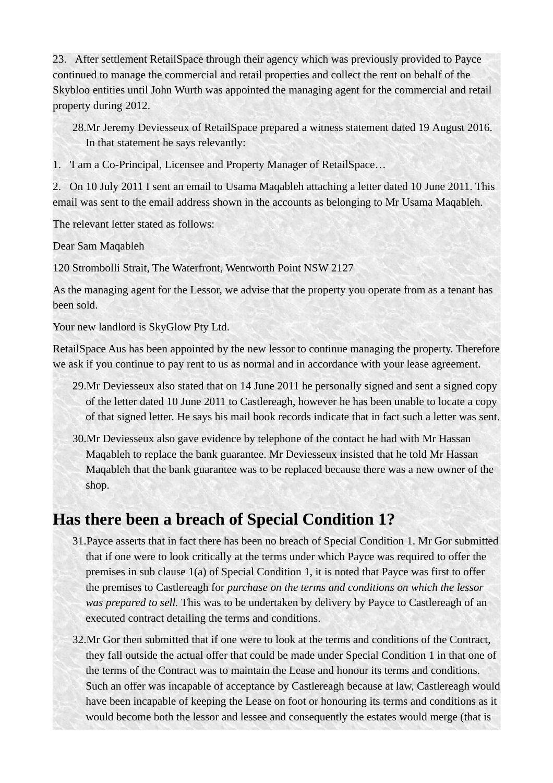23. After settlement RetailSpace through their agency which was previously provided to Payce continued to manage the commercial and retail properties and collect the rent on behalf of the Skybloo entities until John Wurth was appointed the managing agent for the commercial and retail property during 2012.

28.Mr Jeremy Deviesseux of RetailSpace prepared a witness statement dated 19 August 2016. In that statement he says relevantly:

1. 'I am a Co-Principal, Licensee and Property Manager of RetailSpace…

2. On 10 July 2011 I sent an email to Usama Maqableh attaching a letter dated 10 June 2011. This email was sent to the email address shown in the accounts as belonging to Mr Usama Maqableh.

The relevant letter stated as follows:

Dear Sam Maqableh

120 Strombolli Strait, The Waterfront, Wentworth Point NSW 2127

As the managing agent for the Lessor, we advise that the property you operate from as a tenant has been sold.

Your new landlord is SkyGlow Pty Ltd.

RetailSpace Aus has been appointed by the new lessor to continue managing the property. Therefore we ask if you continue to pay rent to us as normal and in accordance with your lease agreement.

- 29.Mr Deviesseux also stated that on 14 June 2011 he personally signed and sent a signed copy of the letter dated 10 June 2011 to Castlereagh, however he has been unable to locate a copy of that signed letter. He says his mail book records indicate that in fact such a letter was sent.
- 30.Mr Deviesseux also gave evidence by telephone of the contact he had with Mr Hassan Maqableh to replace the bank guarantee. Mr Deviesseux insisted that he told Mr Hassan Maqableh that the bank guarantee was to be replaced because there was a new owner of the shop.

# **Has there been a breach of Special Condition 1?**

- 31.Payce asserts that in fact there has been no breach of Special Condition 1. Mr Gor submitted that if one were to look critically at the terms under which Payce was required to offer the premises in sub clause 1(a) of Special Condition 1, it is noted that Payce was first to offer the premises to Castlereagh for *purchase on the terms and conditions on which the lessor was prepared to sell.* This was to be undertaken by delivery by Payce to Castlereagh of an executed contract detailing the terms and conditions.
- 32.Mr Gor then submitted that if one were to look at the terms and conditions of the Contract, they fall outside the actual offer that could be made under Special Condition 1 in that one of the terms of the Contract was to maintain the Lease and honour its terms and conditions. Such an offer was incapable of acceptance by Castlereagh because at law, Castlereagh would have been incapable of keeping the Lease on foot or honouring its terms and conditions as it would become both the lessor and lessee and consequently the estates would merge (that is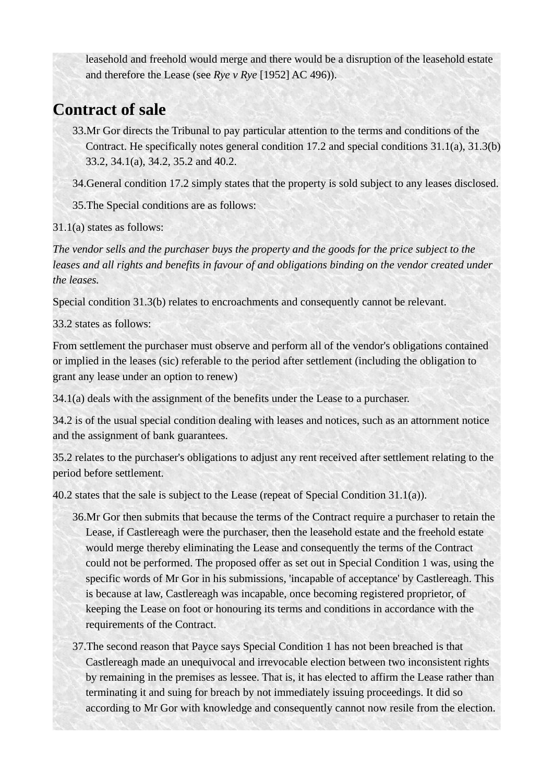leasehold and freehold would merge and there would be a disruption of the leasehold estate and therefore the Lease (see *Rye v Rye* [1952] AC 496)).

## **Contract of sale**

33.Mr Gor directs the Tribunal to pay particular attention to the terms and conditions of the Contract. He specifically notes general condition 17.2 and special conditions 31.1(a), 31.3(b) 33.2, 34.1(a), 34.2, 35.2 and 40.2.

34.General condition 17.2 simply states that the property is sold subject to any leases disclosed.

35.The Special conditions are as follows:

31.1(a) states as follows:

*The vendor sells and the purchaser buys the property and the goods for the price subject to the*  leases and all rights and benefits in favour of and obligations binding on the vendor created under *the leases.*

Special condition 31.3(b) relates to encroachments and consequently cannot be relevant.

33.2 states as follows:

From settlement the purchaser must observe and perform all of the vendor's obligations contained or implied in the leases (sic) referable to the period after settlement (including the obligation to grant any lease under an option to renew)

34.1(a) deals with the assignment of the benefits under the Lease to a purchaser.

34.2 is of the usual special condition dealing with leases and notices, such as an attornment notice and the assignment of bank guarantees.

35.2 relates to the purchaser's obligations to adjust any rent received after settlement relating to the period before settlement.

40.2 states that the sale is subject to the Lease (repeat of Special Condition 31.1(a)).

- 36.Mr Gor then submits that because the terms of the Contract require a purchaser to retain the Lease, if Castlereagh were the purchaser, then the leasehold estate and the freehold estate would merge thereby eliminating the Lease and consequently the terms of the Contract could not be performed. The proposed offer as set out in Special Condition 1 was, using the specific words of Mr Gor in his submissions, 'incapable of acceptance' by Castlereagh. This is because at law, Castlereagh was incapable, once becoming registered proprietor, of keeping the Lease on foot or honouring its terms and conditions in accordance with the requirements of the Contract.
- 37.The second reason that Payce says Special Condition 1 has not been breached is that Castlereagh made an unequivocal and irrevocable election between two inconsistent rights by remaining in the premises as lessee. That is, it has elected to affirm the Lease rather than terminating it and suing for breach by not immediately issuing proceedings. It did so according to Mr Gor with knowledge and consequently cannot now resile from the election.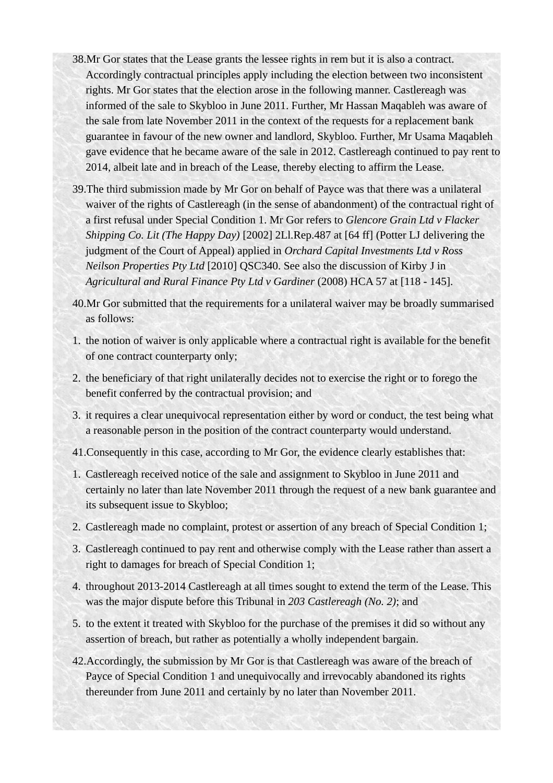- 38.Mr Gor states that the Lease grants the lessee rights in rem but it is also a contract. Accordingly contractual principles apply including the election between two inconsistent rights. Mr Gor states that the election arose in the following manner. Castlereagh was informed of the sale to Skybloo in June 2011. Further, Mr Hassan Maqableh was aware of the sale from late November 2011 in the context of the requests for a replacement bank guarantee in favour of the new owner and landlord, Skybloo. Further, Mr Usama Maqableh gave evidence that he became aware of the sale in 2012. Castlereagh continued to pay rent to 2014, albeit late and in breach of the Lease, thereby electing to affirm the Lease.
- 39.The third submission made by Mr Gor on behalf of Payce was that there was a unilateral waiver of the rights of Castlereagh (in the sense of abandonment) of the contractual right of a first refusal under Special Condition 1. Mr Gor refers to *Glencore Grain Ltd v Flacker Shipping Co. Lit (The Happy Day)* [2002] 2Ll.Rep.487 at [64 ff] (Potter LJ delivering the judgment of the Court of Appeal) applied in *Orchard Capital Investments Ltd v Ross Neilson Properties Pty Ltd* [2010] QSC340. See also the discussion of Kirby J in *Agricultural and Rural Finance Pty Ltd v Gardiner* (2008) HCA 57 at [118 - 145].
- 40.Mr Gor submitted that the requirements for a unilateral waiver may be broadly summarised as follows:
- 1. the notion of waiver is only applicable where a contractual right is available for the benefit of one contract counterparty only;
- 2. the beneficiary of that right unilaterally decides not to exercise the right or to forego the benefit conferred by the contractual provision; and
- 3. it requires a clear unequivocal representation either by word or conduct, the test being what a reasonable person in the position of the contract counterparty would understand.
- 41.Consequently in this case, according to Mr Gor, the evidence clearly establishes that:
- 1. Castlereagh received notice of the sale and assignment to Skybloo in June 2011 and certainly no later than late November 2011 through the request of a new bank guarantee and its subsequent issue to Skybloo;
- 2. Castlereagh made no complaint, protest or assertion of any breach of Special Condition 1;
- 3. Castlereagh continued to pay rent and otherwise comply with the Lease rather than assert a right to damages for breach of Special Condition 1;
- 4. throughout 2013-2014 Castlereagh at all times sought to extend the term of the Lease. This was the major dispute before this Tribunal in *203 Castlereagh (No. 2)*; and
- 5. to the extent it treated with Skybloo for the purchase of the premises it did so without any assertion of breach, but rather as potentially a wholly independent bargain.
- 42.Accordingly, the submission by Mr Gor is that Castlereagh was aware of the breach of Payce of Special Condition 1 and unequivocally and irrevocably abandoned its rights thereunder from June 2011 and certainly by no later than November 2011.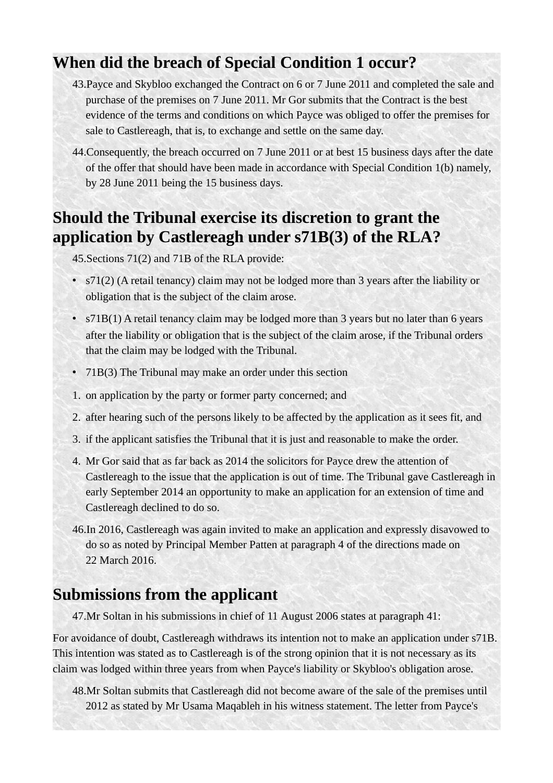## **When did the breach of Special Condition 1 occur?**

- 43.Payce and Skybloo exchanged the Contract on 6 or 7 June 2011 and completed the sale and purchase of the premises on 7 June 2011. Mr Gor submits that the Contract is the best evidence of the terms and conditions on which Payce was obliged to offer the premises for sale to Castlereagh, that is, to exchange and settle on the same day.
- 44.Consequently, the breach occurred on 7 June 2011 or at best 15 business days after the date of the offer that should have been made in accordance with Special Condition 1(b) namely, by 28 June 2011 being the 15 business days.

# **Should the Tribunal exercise its discretion to grant the application by Castlereagh under s71B(3) of the RLA?**

45.Sections 71(2) and 71B of the RLA provide:

- s71(2) (A retail tenancy) claim may not be lodged more than 3 years after the liability or obligation that is the subject of the claim arose.
- s71B(1) A retail tenancy claim may be lodged more than 3 years but no later than 6 years after the liability or obligation that is the subject of the claim arose, if the Tribunal orders that the claim may be lodged with the Tribunal.
- 71B(3) The Tribunal may make an order under this section
- 1. on application by the party or former party concerned; and
- 2. after hearing such of the persons likely to be affected by the application as it sees fit, and
- 3. if the applicant satisfies the Tribunal that it is just and reasonable to make the order.
- 4. Mr Gor said that as far back as 2014 the solicitors for Payce drew the attention of Castlereagh to the issue that the application is out of time. The Tribunal gave Castlereagh in early September 2014 an opportunity to make an application for an extension of time and Castlereagh declined to do so.
- 46.In 2016, Castlereagh was again invited to make an application and expressly disavowed to do so as noted by Principal Member Patten at paragraph 4 of the directions made on 22 March 2016.

# **Submissions from the applicant**

47.Mr Soltan in his submissions in chief of 11 August 2006 states at paragraph 41:

For avoidance of doubt, Castlereagh withdraws its intention not to make an application under s71B. This intention was stated as to Castlereagh is of the strong opinion that it is not necessary as its claim was lodged within three years from when Payce's liability or Skybloo's obligation arose.

48.Mr Soltan submits that Castlereagh did not become aware of the sale of the premises until 2012 as stated by Mr Usama Maqableh in his witness statement. The letter from Payce's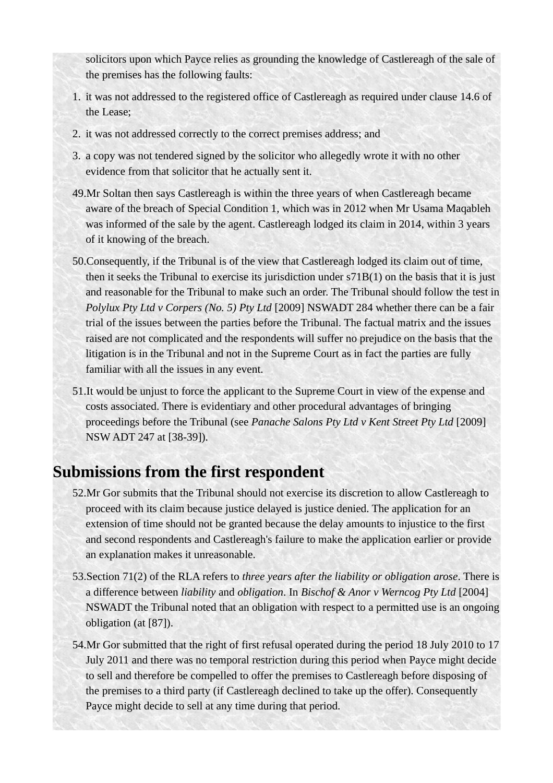solicitors upon which Payce relies as grounding the knowledge of Castlereagh of the sale of the premises has the following faults:

- 1. it was not addressed to the registered office of Castlereagh as required under clause 14.6 of the Lease;
- 2. it was not addressed correctly to the correct premises address; and
- 3. a copy was not tendered signed by the solicitor who allegedly wrote it with no other evidence from that solicitor that he actually sent it.
- 49.Mr Soltan then says Castlereagh is within the three years of when Castlereagh became aware of the breach of Special Condition 1, which was in 2012 when Mr Usama Maqableh was informed of the sale by the agent. Castlereagh lodged its claim in 2014, within 3 years of it knowing of the breach.
- 50.Consequently, if the Tribunal is of the view that Castlereagh lodged its claim out of time, then it seeks the Tribunal to exercise its jurisdiction under s71B(1) on the basis that it is just and reasonable for the Tribunal to make such an order. The Tribunal should follow the test in *Polylux Pty Ltd v Corpers (No. 5) Pty Ltd* [2009] NSWADT 284 whether there can be a fair trial of the issues between the parties before the Tribunal. The factual matrix and the issues raised are not complicated and the respondents will suffer no prejudice on the basis that the litigation is in the Tribunal and not in the Supreme Court as in fact the parties are fully familiar with all the issues in any event.
- 51.It would be unjust to force the applicant to the Supreme Court in view of the expense and costs associated. There is evidentiary and other procedural advantages of bringing proceedings before the Tribunal (see *Panache Salons Pty Ltd v Kent Street Pty Ltd* [2009] NSW ADT 247 at [38-39]).

## **Submissions from the first respondent**

- 52.Mr Gor submits that the Tribunal should not exercise its discretion to allow Castlereagh to proceed with its claim because justice delayed is justice denied. The application for an extension of time should not be granted because the delay amounts to injustice to the first and second respondents and Castlereagh's failure to make the application earlier or provide an explanation makes it unreasonable.
- 53.Section 71(2) of the RLA refers to *three years after the liability or obligation arose*. There is a difference between *liability* and *obligation*. In *Bischof & Anor v Werncog Pty Ltd* [2004] NSWADT the Tribunal noted that an obligation with respect to a permitted use is an ongoing obligation (at [87]).
- 54.Mr Gor submitted that the right of first refusal operated during the period 18 July 2010 to 17 July 2011 and there was no temporal restriction during this period when Payce might decide to sell and therefore be compelled to offer the premises to Castlereagh before disposing of the premises to a third party (if Castlereagh declined to take up the offer). Consequently Payce might decide to sell at any time during that period.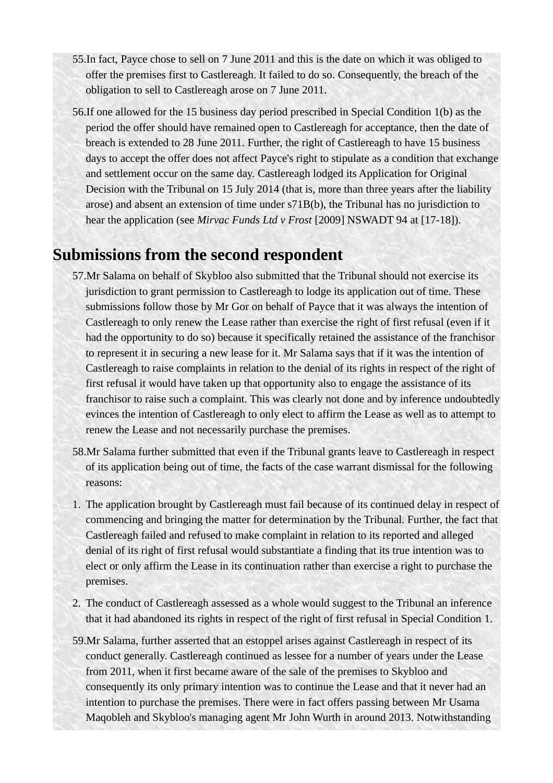- 55.In fact, Payce chose to sell on 7 June 2011 and this is the date on which it was obliged to offer the premises first to Castlereagh. It failed to do so. Consequently, the breach of the obligation to sell to Castlereagh arose on 7 June 2011.
- 56.If one allowed for the 15 business day period prescribed in Special Condition 1(b) as the period the offer should have remained open to Castlereagh for acceptance, then the date of breach is extended to 28 June 2011. Further, the right of Castlereagh to have 15 business days to accept the offer does not affect Payce's right to stipulate as a condition that exchange and settlement occur on the same day. Castlereagh lodged its Application for Original Decision with the Tribunal on 15 July 2014 (that is, more than three years after the liability arose) and absent an extension of time under s71B(b), the Tribunal has no jurisdiction to hear the application (see *Mirvac Funds Ltd v Frost* [2009] NSWADT 94 at [17-18]).

## **Submissions from the second respondent**

- 57.Mr Salama on behalf of Skybloo also submitted that the Tribunal should not exercise its jurisdiction to grant permission to Castlereagh to lodge its application out of time. These submissions follow those by Mr Gor on behalf of Payce that it was always the intention of Castlereagh to only renew the Lease rather than exercise the right of first refusal (even if it had the opportunity to do so) because it specifically retained the assistance of the franchisor to represent it in securing a new lease for it. Mr Salama says that if it was the intention of Castlereagh to raise complaints in relation to the denial of its rights in respect of the right of first refusal it would have taken up that opportunity also to engage the assistance of its franchisor to raise such a complaint. This was clearly not done and by inference undoubtedly evinces the intention of Castlereagh to only elect to affirm the Lease as well as to attempt to renew the Lease and not necessarily purchase the premises.
- 58.Mr Salama further submitted that even if the Tribunal grants leave to Castlereagh in respect of its application being out of time, the facts of the case warrant dismissal for the following reasons:
- 1. The application brought by Castlereagh must fail because of its continued delay in respect of commencing and bringing the matter for determination by the Tribunal. Further, the fact that Castlereagh failed and refused to make complaint in relation to its reported and alleged denial of its right of first refusal would substantiate a finding that its true intention was to elect or only affirm the Lease in its continuation rather than exercise a right to purchase the premises.
- 2. The conduct of Castlereagh assessed as a whole would suggest to the Tribunal an inference that it had abandoned its rights in respect of the right of first refusal in Special Condition 1.
- 59.Mr Salama, further asserted that an estoppel arises against Castlereagh in respect of its conduct generally. Castlereagh continued as lessee for a number of years under the Lease from 2011, when it first became aware of the sale of the premises to Skybloo and consequently its only primary intention was to continue the Lease and that it never had an intention to purchase the premises. There were in fact offers passing between Mr Usama Maqobleh and Skybloo's managing agent Mr John Wurth in around 2013. Notwithstanding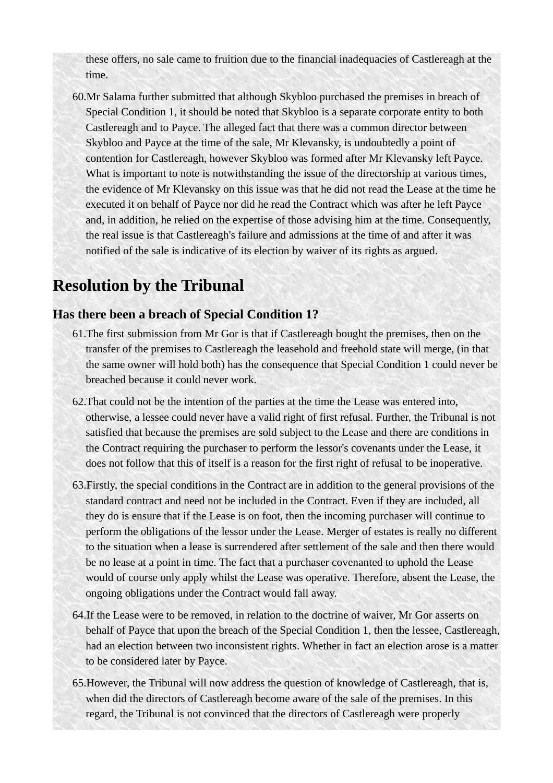these offers, no sale came to fruition due to the financial inadequacies of Castlereagh at the time.

60.Mr Salama further submitted that although Skybloo purchased the premises in breach of Special Condition 1, it should be noted that Skybloo is a separate corporate entity to both Castlereagh and to Payce. The alleged fact that there was a common director between Skybloo and Payce at the time of the sale, Mr Klevansky, is undoubtedly a point of contention for Castlereagh, however Skybloo was formed after Mr Klevansky left Payce. What is important to note is notwithstanding the issue of the directorship at various times, the evidence of Mr Klevansky on this issue was that he did not read the Lease at the time he executed it on behalf of Payce nor did he read the Contract which was after he left Payce and, in addition, he relied on the expertise of those advising him at the time. Consequently, the real issue is that Castlereagh's failure and admissions at the time of and after it was notified of the sale is indicative of its election by waiver of its rights as argued.

# **Resolution by the Tribunal**

### **Has there been a breach of Special Condition 1?**

- 61.The first submission from Mr Gor is that if Castlereagh bought the premises, then on the transfer of the premises to Castlereagh the leasehold and freehold state will merge, (in that the same owner will hold both) has the consequence that Special Condition 1 could never be breached because it could never work.
- 62.That could not be the intention of the parties at the time the Lease was entered into, otherwise, a lessee could never have a valid right of first refusal. Further, the Tribunal is not satisfied that because the premises are sold subject to the Lease and there are conditions in the Contract requiring the purchaser to perform the lessor's covenants under the Lease, it does not follow that this of itself is a reason for the first right of refusal to be inoperative.
- 63.Firstly, the special conditions in the Contract are in addition to the general provisions of the standard contract and need not be included in the Contract. Even if they are included, all they do is ensure that if the Lease is on foot, then the incoming purchaser will continue to perform the obligations of the lessor under the Lease. Merger of estates is really no different to the situation when a lease is surrendered after settlement of the sale and then there would be no lease at a point in time. The fact that a purchaser covenanted to uphold the Lease would of course only apply whilst the Lease was operative. Therefore, absent the Lease, the ongoing obligations under the Contract would fall away.
- 64.If the Lease were to be removed, in relation to the doctrine of waiver, Mr Gor asserts on behalf of Payce that upon the breach of the Special Condition 1, then the lessee, Castlereagh, had an election between two inconsistent rights. Whether in fact an election arose is a matter to be considered later by Payce.
- 65.However, the Tribunal will now address the question of knowledge of Castlereagh, that is, when did the directors of Castlereagh become aware of the sale of the premises. In this regard, the Tribunal is not convinced that the directors of Castlereagh were properly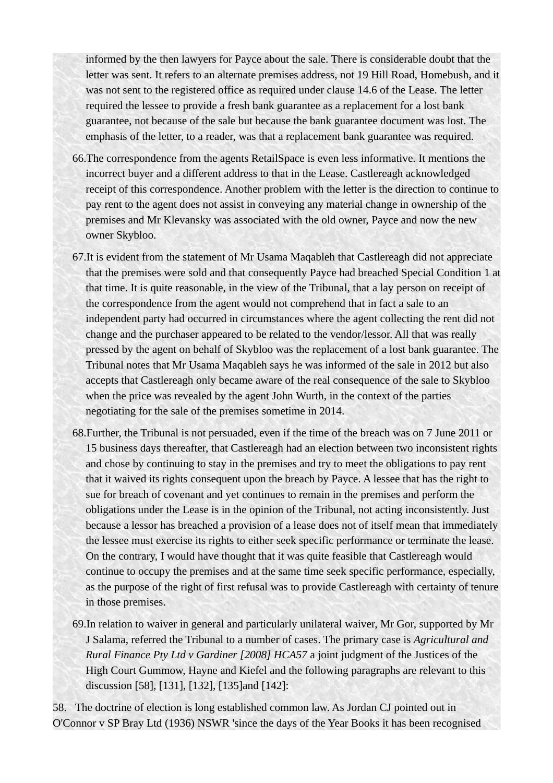informed by the then lawyers for Payce about the sale. There is considerable doubt that the letter was sent. It refers to an alternate premises address, not 19 Hill Road, Homebush, and it was not sent to the registered office as required under clause 14.6 of the Lease. The letter required the lessee to provide a fresh bank guarantee as a replacement for a lost bank guarantee, not because of the sale but because the bank guarantee document was lost. The emphasis of the letter, to a reader, was that a replacement bank guarantee was required.

- 66.The correspondence from the agents RetailSpace is even less informative. It mentions the incorrect buyer and a different address to that in the Lease. Castlereagh acknowledged receipt of this correspondence. Another problem with the letter is the direction to continue to pay rent to the agent does not assist in conveying any material change in ownership of the premises and Mr Klevansky was associated with the old owner, Payce and now the new owner Skybloo.
- 67.It is evident from the statement of Mr Usama Maqableh that Castlereagh did not appreciate that the premises were sold and that consequently Payce had breached Special Condition 1 at that time. It is quite reasonable, in the view of the Tribunal, that a lay person on receipt of the correspondence from the agent would not comprehend that in fact a sale to an independent party had occurred in circumstances where the agent collecting the rent did not change and the purchaser appeared to be related to the vendor/lessor. All that was really pressed by the agent on behalf of Skybloo was the replacement of a lost bank guarantee. The Tribunal notes that Mr Usama Maqableh says he was informed of the sale in 2012 but also accepts that Castlereagh only became aware of the real consequence of the sale to Skybloo when the price was revealed by the agent John Wurth, in the context of the parties negotiating for the sale of the premises sometime in 2014.
- 68.Further, the Tribunal is not persuaded, even if the time of the breach was on 7 June 2011 or 15 business days thereafter, that Castlereagh had an election between two inconsistent rights and chose by continuing to stay in the premises and try to meet the obligations to pay rent that it waived its rights consequent upon the breach by Payce. A lessee that has the right to sue for breach of covenant and yet continues to remain in the premises and perform the obligations under the Lease is in the opinion of the Tribunal, not acting inconsistently. Just because a lessor has breached a provision of a lease does not of itself mean that immediately the lessee must exercise its rights to either seek specific performance or terminate the lease. On the contrary, I would have thought that it was quite feasible that Castlereagh would continue to occupy the premises and at the same time seek specific performance, especially, as the purpose of the right of first refusal was to provide Castlereagh with certainty of tenure in those premises.
- 69.In relation to waiver in general and particularly unilateral waiver, Mr Gor, supported by Mr J Salama, referred the Tribunal to a number of cases. The primary case is *Agricultural and Rural Finance Pty Ltd v Gardiner [2008] HCA57* a joint judgment of the Justices of the High Court Gummow, Hayne and Kiefel and the following paragraphs are relevant to this discussion [58], [131], [132], [135]and [142]:

58. The doctrine of election is long established common law. As Jordan CJ pointed out in O'Connor v SP Bray Ltd (1936) NSWR 'since the days of the Year Books it has been recognised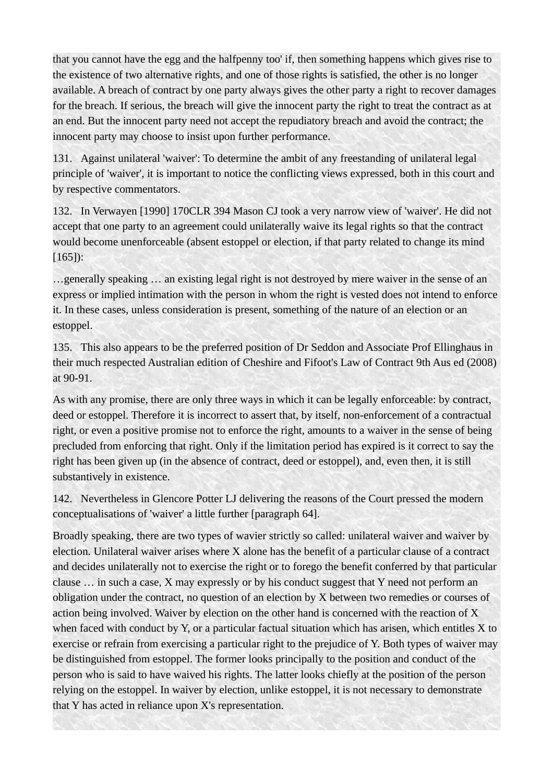that you cannot have the egg and the halfpenny too' if, then something happens which gives rise to the existence of two alternative rights, and one of those rights is satisfied, the other is no longer available. A breach of contract by one party always gives the other party a right to recover damages for the breach. If serious, the breach will give the innocent party the right to treat the contract as at an end. But the innocent party need not accept the repudiatory breach and avoid the contract; the innocent party may choose to insist upon further performance.

131. Against unilateral 'waiver': To determine the ambit of any freestanding of unilateral legal principle of 'waiver', it is important to notice the conflicting views expressed, both in this court and by respective commentators.

132. In Verwayen [1990] 170CLR 394 Mason CJ took a very narrow view of 'waiver'. He did not accept that one party to an agreement could unilaterally waive its legal rights so that the contract would become unenforceable (absent estoppel or election, if that party related to change its mind [165]):

…generally speaking … an existing legal right is not destroyed by mere waiver in the sense of an express or implied intimation with the person in whom the right is vested does not intend to enforce it. In these cases, unless consideration is present, something of the nature of an election or an estoppel.

135. This also appears to be the preferred position of Dr Seddon and Associate Prof Ellinghaus in their much respected Australian edition of Cheshire and Fifoot's Law of Contract 9th Aus ed (2008) at 90-91.

As with any promise, there are only three ways in which it can be legally enforceable: by contract, deed or estoppel. Therefore it is incorrect to assert that, by itself, non-enforcement of a contractual right, or even a positive promise not to enforce the right, amounts to a waiver in the sense of being precluded from enforcing that right. Only if the limitation period has expired is it correct to say the right has been given up (in the absence of contract, deed or estoppel), and, even then, it is still substantively in existence.

142. Nevertheless in Glencore Potter LJ delivering the reasons of the Court pressed the modern conceptualisations of 'waiver' a little further [paragraph 64].

Broadly speaking, there are two types of wavier strictly so called: unilateral waiver and waiver by election. Unilateral waiver arises where X alone has the benefit of a particular clause of a contract and decides unilaterally not to exercise the right or to forego the benefit conferred by that particular clause … in such a case, X may expressly or by his conduct suggest that Y need not perform an obligation under the contract, no question of an election by X between two remedies or courses of action being involved. Waiver by election on the other hand is concerned with the reaction of X when faced with conduct by Y, or a particular factual situation which has arisen, which entitles X to exercise or refrain from exercising a particular right to the prejudice of Y. Both types of waiver may be distinguished from estoppel. The former looks principally to the position and conduct of the person who is said to have waived his rights. The latter looks chiefly at the position of the person relying on the estoppel. In waiver by election, unlike estoppel, it is not necessary to demonstrate that Y has acted in reliance upon X's representation.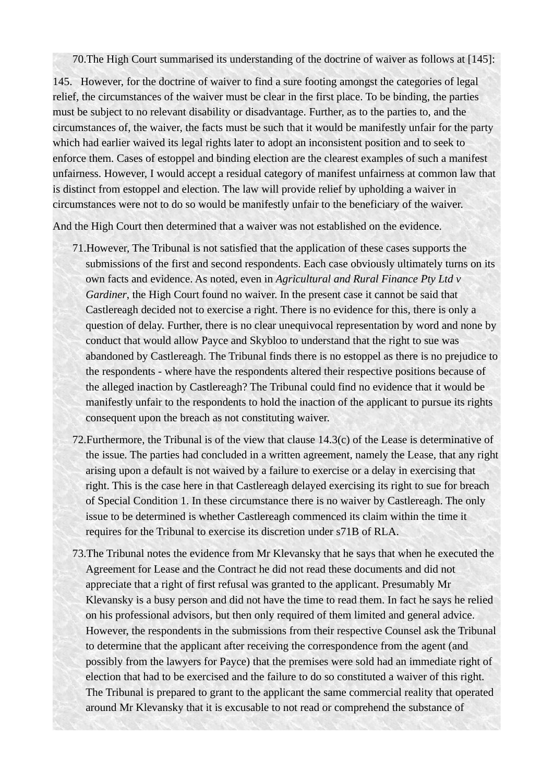70.The High Court summarised its understanding of the doctrine of waiver as follows at [145]:

145. However, for the doctrine of waiver to find a sure footing amongst the categories of legal relief, the circumstances of the waiver must be clear in the first place. To be binding, the parties must be subject to no relevant disability or disadvantage. Further, as to the parties to, and the circumstances of, the waiver, the facts must be such that it would be manifestly unfair for the party which had earlier waived its legal rights later to adopt an inconsistent position and to seek to enforce them. Cases of estoppel and binding election are the clearest examples of such a manifest unfairness. However, I would accept a residual category of manifest unfairness at common law that is distinct from estoppel and election. The law will provide relief by upholding a waiver in circumstances were not to do so would be manifestly unfair to the beneficiary of the waiver.

And the High Court then determined that a waiver was not established on the evidence.

- 71.However, The Tribunal is not satisfied that the application of these cases supports the submissions of the first and second respondents. Each case obviously ultimately turns on its own facts and evidence. As noted, even in *Agricultural and Rural Finance Pty Ltd v Gardiner*, the High Court found no waiver. In the present case it cannot be said that Castlereagh decided not to exercise a right. There is no evidence for this, there is only a question of delay. Further, there is no clear unequivocal representation by word and none by conduct that would allow Payce and Skybloo to understand that the right to sue was abandoned by Castlereagh. The Tribunal finds there is no estoppel as there is no prejudice to the respondents - where have the respondents altered their respective positions because of the alleged inaction by Castlereagh? The Tribunal could find no evidence that it would be manifestly unfair to the respondents to hold the inaction of the applicant to pursue its rights consequent upon the breach as not constituting waiver.
- 72.Furthermore, the Tribunal is of the view that clause 14.3(c) of the Lease is determinative of the issue. The parties had concluded in a written agreement, namely the Lease, that any right arising upon a default is not waived by a failure to exercise or a delay in exercising that right. This is the case here in that Castlereagh delayed exercising its right to sue for breach of Special Condition 1. In these circumstance there is no waiver by Castlereagh. The only issue to be determined is whether Castlereagh commenced its claim within the time it requires for the Tribunal to exercise its discretion under s71B of RLA.
- 73.The Tribunal notes the evidence from Mr Klevansky that he says that when he executed the Agreement for Lease and the Contract he did not read these documents and did not appreciate that a right of first refusal was granted to the applicant. Presumably Mr Klevansky is a busy person and did not have the time to read them. In fact he says he relied on his professional advisors, but then only required of them limited and general advice. However, the respondents in the submissions from their respective Counsel ask the Tribunal to determine that the applicant after receiving the correspondence from the agent (and possibly from the lawyers for Payce) that the premises were sold had an immediate right of election that had to be exercised and the failure to do so constituted a waiver of this right. The Tribunal is prepared to grant to the applicant the same commercial reality that operated around Mr Klevansky that it is excusable to not read or comprehend the substance of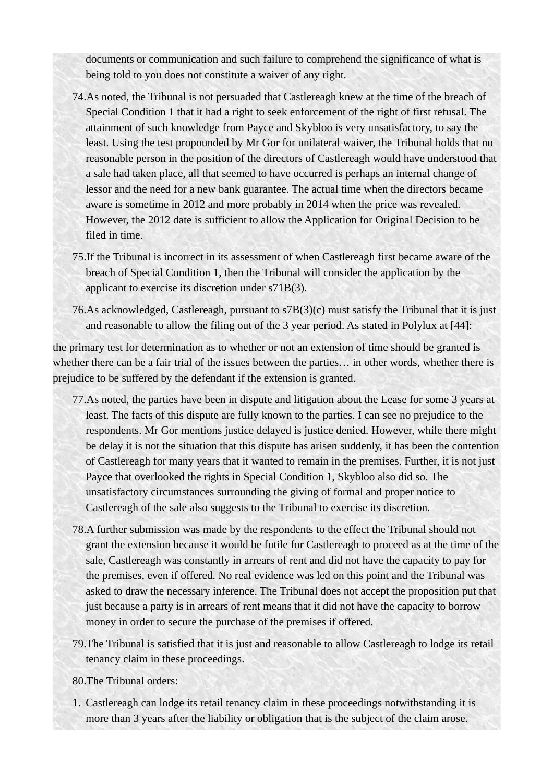documents or communication and such failure to comprehend the significance of what is being told to you does not constitute a waiver of any right.

- 74.As noted, the Tribunal is not persuaded that Castlereagh knew at the time of the breach of Special Condition 1 that it had a right to seek enforcement of the right of first refusal. The attainment of such knowledge from Payce and Skybloo is very unsatisfactory, to say the least. Using the test propounded by Mr Gor for unilateral waiver, the Tribunal holds that no reasonable person in the position of the directors of Castlereagh would have understood that a sale had taken place, all that seemed to have occurred is perhaps an internal change of lessor and the need for a new bank guarantee. The actual time when the directors became aware is sometime in 2012 and more probably in 2014 when the price was revealed. However, the 2012 date is sufficient to allow the Application for Original Decision to be filed in time.
- 75.If the Tribunal is incorrect in its assessment of when Castlereagh first became aware of the breach of Special Condition 1, then the Tribunal will consider the application by the applicant to exercise its discretion under s71B(3).
- 76.As acknowledged, Castlereagh, pursuant to s7B(3)(c) must satisfy the Tribunal that it is just and reasonable to allow the filing out of the 3 year period. As stated in Polylux at [44]:

the primary test for determination as to whether or not an extension of time should be granted is whether there can be a fair trial of the issues between the parties… in other words, whether there is prejudice to be suffered by the defendant if the extension is granted.

- 77.As noted, the parties have been in dispute and litigation about the Lease for some 3 years at least. The facts of this dispute are fully known to the parties. I can see no prejudice to the respondents. Mr Gor mentions justice delayed is justice denied. However, while there might be delay it is not the situation that this dispute has arisen suddenly, it has been the contention of Castlereagh for many years that it wanted to remain in the premises. Further, it is not just Payce that overlooked the rights in Special Condition 1, Skybloo also did so. The unsatisfactory circumstances surrounding the giving of formal and proper notice to Castlereagh of the sale also suggests to the Tribunal to exercise its discretion.
- 78.A further submission was made by the respondents to the effect the Tribunal should not grant the extension because it would be futile for Castlereagh to proceed as at the time of the sale, Castlereagh was constantly in arrears of rent and did not have the capacity to pay for the premises, even if offered. No real evidence was led on this point and the Tribunal was asked to draw the necessary inference. The Tribunal does not accept the proposition put that just because a party is in arrears of rent means that it did not have the capacity to borrow money in order to secure the purchase of the premises if offered.
- 79.The Tribunal is satisfied that it is just and reasonable to allow Castlereagh to lodge its retail tenancy claim in these proceedings.
- 80.The Tribunal orders:
- 1. Castlereagh can lodge its retail tenancy claim in these proceedings notwithstanding it is more than 3 years after the liability or obligation that is the subject of the claim arose.